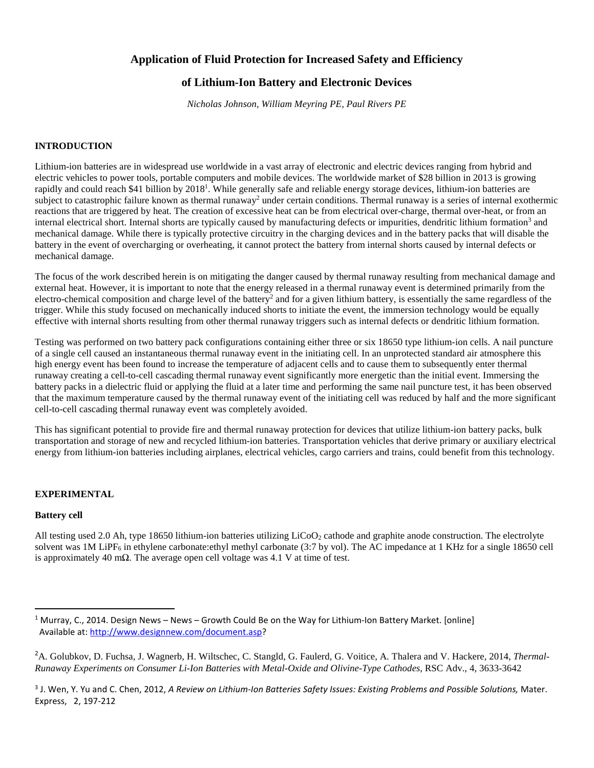# **Application of Fluid Protection for Increased Safety and Efficiency**

# **of Lithium-Ion Battery and Electronic Devices**

*Nicholas Johnson, William Meyring PE, Paul Rivers PE* 

## **INTRODUCTION**

Lithium-ion batteries are in widespread use worldwide in a vast array of electronic and electric devices ranging from hybrid and electric vehicles to power tools, portable computers and mobile devices. The worldwide market of \$28 billion in 2013 is growing rapidly and could reach \$41 billion by 2018<sup>1</sup>. While generally safe and reliable energy storage devices, lithium-ion batteries are subject to catastrophic failure known as thermal runaway<sup>2</sup> under certain conditions. Thermal runaway is a series of internal exothermic reactions that are triggered by heat. The creation of excessive heat can be from electrical over-charge, thermal over-heat, or from an internal electrical short. Internal shorts are typically caused by manufacturing defects or impurities, dendritic lithium formation<sup>3</sup> and mechanical damage. While there is typically protective circuitry in the charging devices and in the battery packs that will disable the battery in the event of overcharging or overheating, it cannot protect the battery from internal shorts caused by internal defects or mechanical damage.

The focus of the work described herein is on mitigating the danger caused by thermal runaway resulting from mechanical damage and external heat. However, it is important to note that the energy released in a thermal runaway event is determined primarily from the electro-chemical composition and charge level of the battery<sup>2</sup> and for a given lithium battery, is essentially the same regardless of the trigger. While this study focused on mechanically induced shorts to initiate the event, the immersion technology would be equally effective with internal shorts resulting from other thermal runaway triggers such as internal defects or dendritic lithium formation.

Testing was performed on two battery pack configurations containing either three or six 18650 type lithium-ion cells. A nail puncture of a single cell caused an instantaneous thermal runaway event in the initiating cell. In an unprotected standard air atmosphere this high energy event has been found to increase the temperature of adjacent cells and to cause them to subsequently enter thermal runaway creating a cell-to-cell cascading thermal runaway event significantly more energetic than the initial event. Immersing the battery packs in a dielectric fluid or applying the fluid at a later time and performing the same nail puncture test, it has been observed that the maximum temperature caused by the thermal runaway event of the initiating cell was reduced by half and the more significant cell-to-cell cascading thermal runaway event was completely avoided.

This has significant potential to provide fire and thermal runaway protection for devices that utilize lithium-ion battery packs, bulk transportation and storage of new and recycled lithium-ion batteries. Transportation vehicles that derive primary or auxiliary electrical energy from lithium-ion batteries including airplanes, electrical vehicles, cargo carriers and trains, could benefit from this technology.

#### **EXPERIMENTAL**

#### **Battery cell**

-

All testing used 2.0 Ah, type 18650 lithium-ion batteries utilizing  $LiCoO<sub>2</sub>$  cathode and graphite anode construction. The electrolyte solvent was  $1M$  LiPF<sub>6</sub> in ethylene carbonate:ethyl methyl carbonate (3:7 by vol). The AC impedance at 1 KHz for a single 18650 cell is approximately 40 m $\Omega$ . The average open cell voltage was 4.1 V at time of test.

<sup>3</sup> J. Wen, Y. Yu and C. Chen, 2012, A Review on Lithium-Ion Batteries Safety Issues: Existing Problems and Possible Solutions, Mater. Express, 2, 197-212

<sup>&</sup>lt;sup>1</sup> Murray, C., 2014. Design News – News – Growth Could Be on the Way for Lithium-Ion Battery Market. [online] Available at: http://www.designnew.com/document.asp?

<sup>2</sup>A. Golubkov, D. Fuchsa, J. Wagnerb, H. Wiltschec, C. Stangld, G. Faulerd, G. Voitice, A. Thalera and V. Hackere, 2014, *Thermal-Runaway Experiments on Consumer Li-Ion Batteries with Metal-Oxide and Olivine-Type Cathodes*, RSC Adv., 4, 3633-3642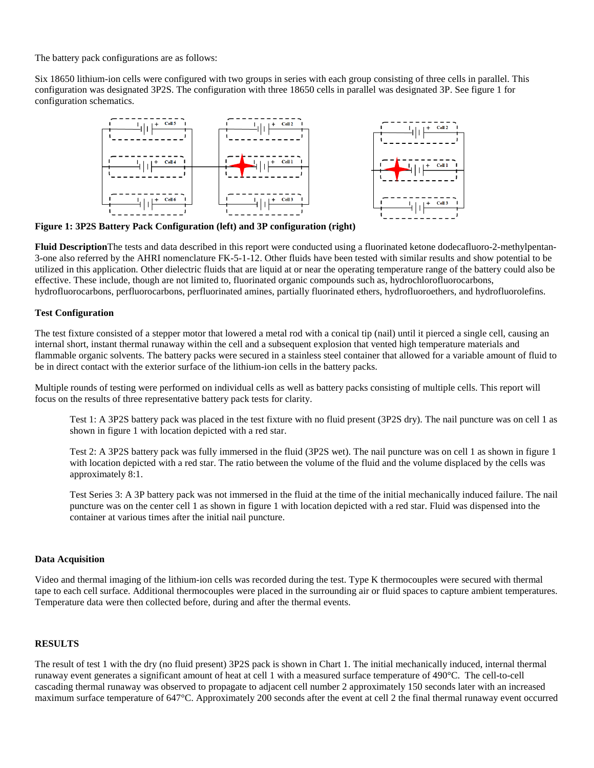The battery pack configurations are as follows:

Six 18650 lithium-ion cells were configured with two groups in series with each group consisting of three cells in parallel. This configuration was designated 3P2S. The configuration with three 18650 cells in parallel was designated 3P. See figure 1 for configuration schematics.



**Figure 1: 3P2S Battery Pack Configuration (left) and 3P configuration (right)** 

**Fluid Description**The tests and data described in this report were conducted using a fluorinated ketone dodecafluoro-2-methylpentan-3-one also referred by the AHRI nomenclature FK-5-1-12. Other fluids have been tested with similar results and show potential to be utilized in this application. Other dielectric fluids that are liquid at or near the operating temperature range of the battery could also be effective. These include, though are not limited to, fluorinated organic compounds such as, hydrochlorofluorocarbons, hydrofluorocarbons, perfluorocarbons, perfluorinated amines, partially fluorinated ethers, hydrofluoroethers, and hydrofluorolefins.

# **Test Configuration**

The test fixture consisted of a stepper motor that lowered a metal rod with a conical tip (nail) until it pierced a single cell, causing an internal short, instant thermal runaway within the cell and a subsequent explosion that vented high temperature materials and flammable organic solvents. The battery packs were secured in a stainless steel container that allowed for a variable amount of fluid to be in direct contact with the exterior surface of the lithium-ion cells in the battery packs.

Multiple rounds of testing were performed on individual cells as well as battery packs consisting of multiple cells. This report will focus on the results of three representative battery pack tests for clarity.

Test 1: A 3P2S battery pack was placed in the test fixture with no fluid present (3P2S dry). The nail puncture was on cell 1 as shown in figure 1 with location depicted with a red star.

Test 2: A 3P2S battery pack was fully immersed in the fluid (3P2S wet). The nail puncture was on cell 1 as shown in figure 1 with location depicted with a red star. The ratio between the volume of the fluid and the volume displaced by the cells was approximately 8:1.

Test Series 3: A 3P battery pack was not immersed in the fluid at the time of the initial mechanically induced failure. The nail puncture was on the center cell 1 as shown in figure 1 with location depicted with a red star. Fluid was dispensed into the container at various times after the initial nail puncture.

## **Data Acquisition**

Video and thermal imaging of the lithium-ion cells was recorded during the test. Type K thermocouples were secured with thermal tape to each cell surface. Additional thermocouples were placed in the surrounding air or fluid spaces to capture ambient temperatures. Temperature data were then collected before, during and after the thermal events.

#### **RESULTS**

The result of test 1 with the dry (no fluid present) 3P2S pack is shown in Chart 1. The initial mechanically induced, internal thermal runaway event generates a significant amount of heat at cell 1 with a measured surface temperature of 490°C. The cell-to-cell cascading thermal runaway was observed to propagate to adjacent cell number 2 approximately 150 seconds later with an increased maximum surface temperature of 647°C. Approximately 200 seconds after the event at cell 2 the final thermal runaway event occurred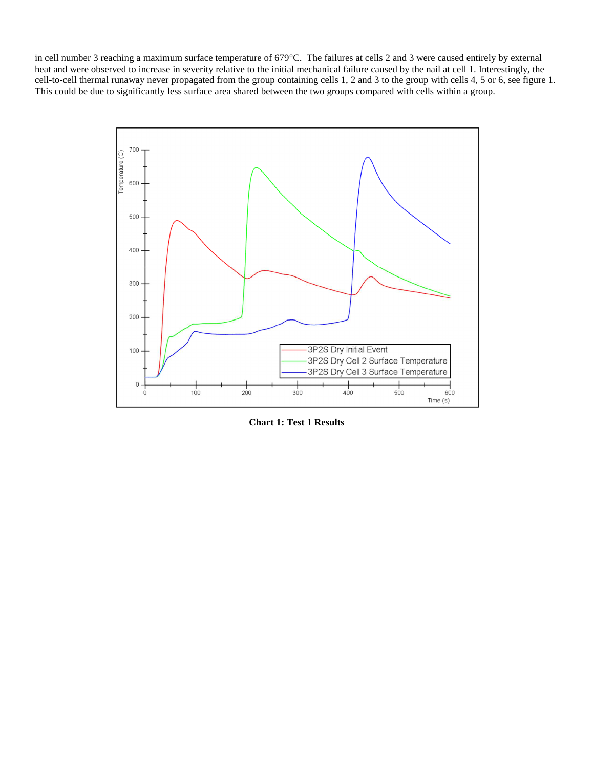in cell number 3 reaching a maximum surface temperature of 679°C. The failures at cells 2 and 3 were caused entirely by external heat and were observed to increase in severity relative to the initial mechanical failure caused by the nail at cell 1. Interestingly, the cell-to-cell thermal runaway never propagated from the group containing cells 1, 2 and 3 to the group with cells 4, 5 or 6, see figure 1. This could be due to significantly less surface area shared between the two groups compared with cells within a group.



**Chart 1: Test 1 Results**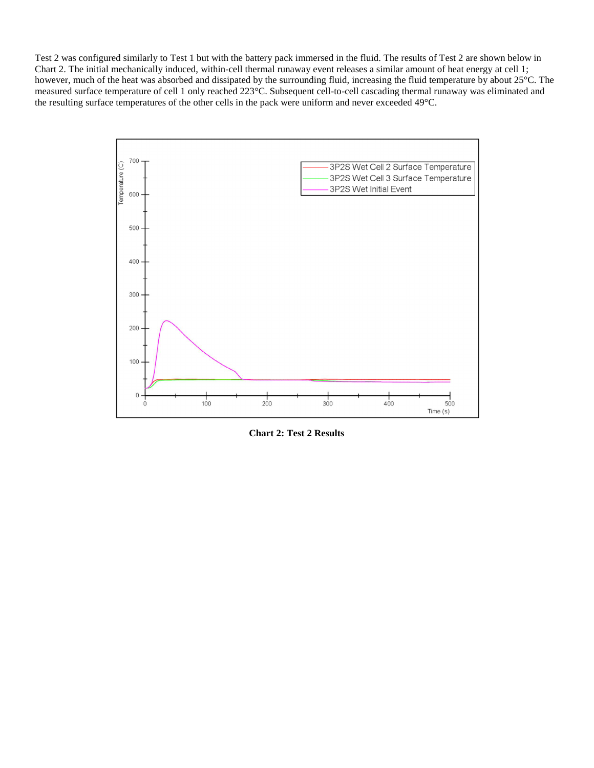Test 2 was configured similarly to Test 1 but with the battery pack immersed in the fluid. The results of Test 2 are shown below in Chart 2. The initial mechanically induced, within-cell thermal runaway event releases a similar amount of heat energy at cell 1; however, much of the heat was absorbed and dissipated by the surrounding fluid, increasing the fluid temperature by about 25°C. The measured surface temperature of cell 1 only reached 223°C. Subsequent cell-to-cell cascading thermal runaway was eliminated and the resulting surface temperatures of the other cells in the pack were uniform and never exceeded 49°C.



**Chart 2: Test 2 Results**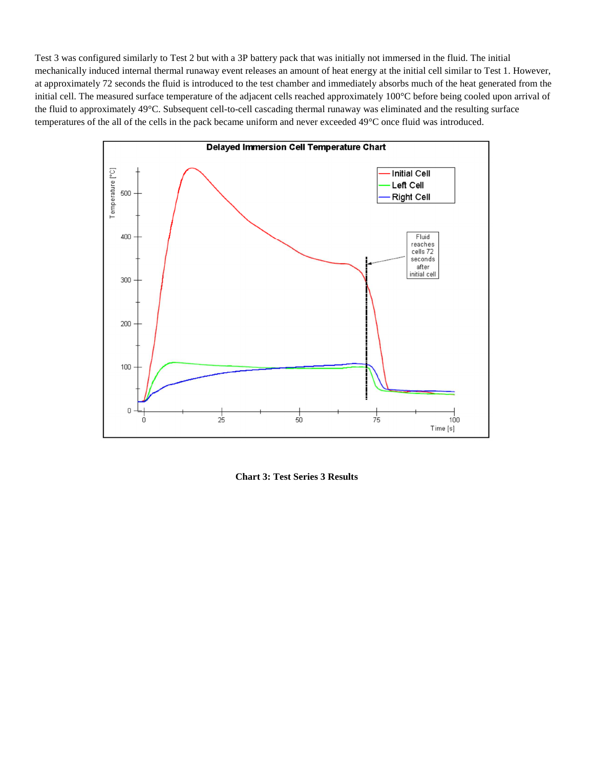Test 3 was configured similarly to Test 2 but with a 3P battery pack that was initially not immersed in the fluid. The initial mechanically induced internal thermal runaway event releases an amount of heat energy at the initial cell similar to Test 1. However, at approximately 72 seconds the fluid is introduced to the test chamber and immediately absorbs much of the heat generated from the initial cell. The measured surface temperature of the adjacent cells reached approximately 100°C before being cooled upon arrival of the fluid to approximately 49°C. Subsequent cell-to-cell cascading thermal runaway was eliminated and the resulting surface temperatures of the all of the cells in the pack became uniform and never exceeded 49°C once fluid was introduced.



**Chart 3: Test Series 3 Results**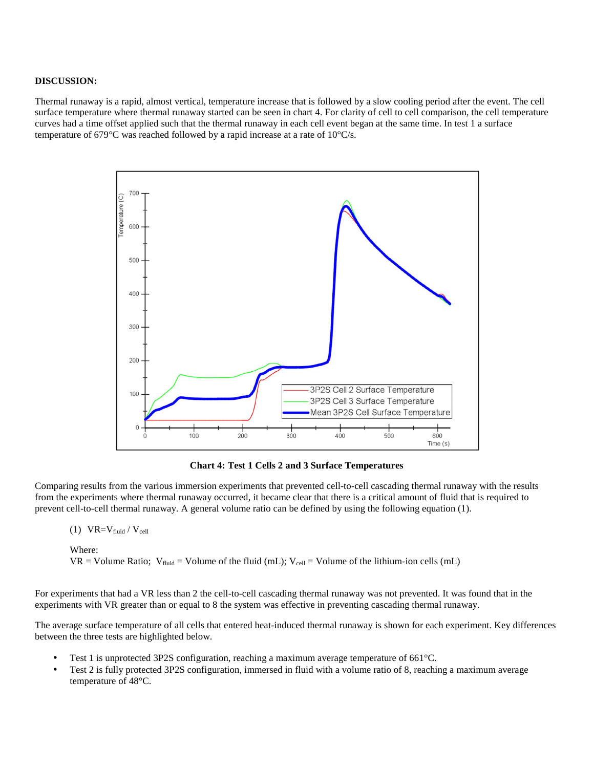## **DISCUSSION:**

Thermal runaway is a rapid, almost vertical, temperature increase that is followed by a slow cooling period after the event. The cell surface temperature where thermal runaway started can be seen in chart 4. For clarity of cell to cell comparison, the cell temperature curves had a time offset applied such that the thermal runaway in each cell event began at the same time. In test 1 a surface temperature of 679°C was reached followed by a rapid increase at a rate of 10°C/s.



**Chart 4: Test 1 Cells 2 and 3 Surface Temperatures** 

Comparing results from the various immersion experiments that prevented cell-to-cell cascading thermal runaway with the results from the experiments where thermal runaway occurred, it became clear that there is a critical amount of fluid that is required to prevent cell-to-cell thermal runaway. A general volume ratio can be defined by using the following equation (1).

$$
(1) \quad VR = V_{fluid} / V_{cell}
$$

Where:

VR = Volume Ratio; V<sub>fluid</sub> = Volume of the fluid (mL); V<sub>cell</sub> = Volume of the lithium-ion cells (mL)

For experiments that had a VR less than 2 the cell-to-cell cascading thermal runaway was not prevented. It was found that in the experiments with VR greater than or equal to 8 the system was effective in preventing cascading thermal runaway.

The average surface temperature of all cells that entered heat-induced thermal runaway is shown for each experiment. Key differences between the three tests are highlighted below.

- Test 1 is unprotected 3P2S configuration, reaching a maximum average temperature of 661°C.
- Test 2 is fully protected 3P2S configuration, immersed in fluid with a volume ratio of 8, reaching a maximum average temperature of 48°C.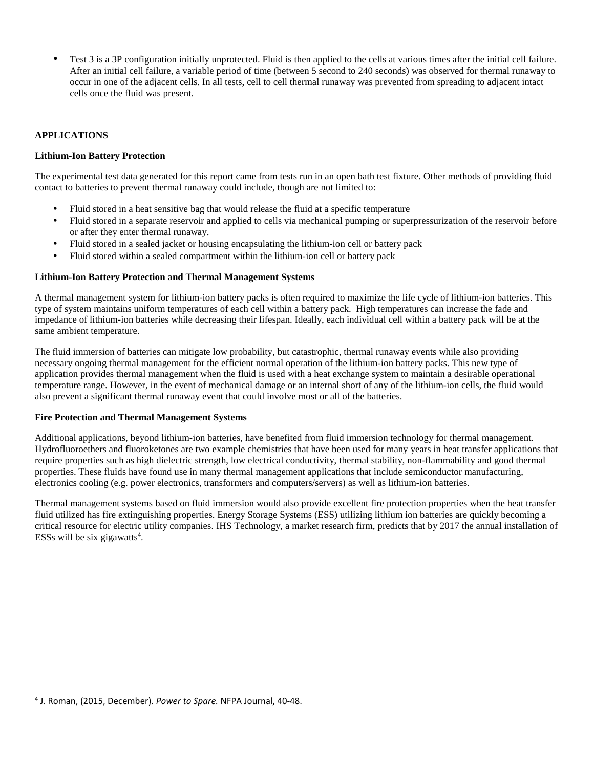• Test 3 is a 3P configuration initially unprotected. Fluid is then applied to the cells at various times after the initial cell failure. After an initial cell failure, a variable period of time (between 5 second to 240 seconds) was observed for thermal runaway to occur in one of the adjacent cells. In all tests, cell to cell thermal runaway was prevented from spreading to adjacent intact cells once the fluid was present.

# **APPLICATIONS**

# **Lithium-Ion Battery Protection**

The experimental test data generated for this report came from tests run in an open bath test fixture. Other methods of providing fluid contact to batteries to prevent thermal runaway could include, though are not limited to:

- Fluid stored in a heat sensitive bag that would release the fluid at a specific temperature
- Fluid stored in a separate reservoir and applied to cells via mechanical pumping or superpressurization of the reservoir before or after they enter thermal runaway.
- Fluid stored in a sealed jacket or housing encapsulating the lithium-ion cell or battery pack
- Fluid stored within a sealed compartment within the lithium-ion cell or battery pack

# **Lithium-Ion Battery Protection and Thermal Management Systems**

A thermal management system for lithium-ion battery packs is often required to maximize the life cycle of lithium-ion batteries. This type of system maintains uniform temperatures of each cell within a battery pack. High temperatures can increase the fade and impedance of lithium-ion batteries while decreasing their lifespan. Ideally, each individual cell within a battery pack will be at the same ambient temperature.

The fluid immersion of batteries can mitigate low probability, but catastrophic, thermal runaway events while also providing necessary ongoing thermal management for the efficient normal operation of the lithium-ion battery packs. This new type of application provides thermal management when the fluid is used with a heat exchange system to maintain a desirable operational temperature range. However, in the event of mechanical damage or an internal short of any of the lithium-ion cells, the fluid would also prevent a significant thermal runaway event that could involve most or all of the batteries.

# **Fire Protection and Thermal Management Systems**

Additional applications, beyond lithium-ion batteries, have benefited from fluid immersion technology for thermal management. Hydrofluoroethers and fluoroketones are two example chemistries that have been used for many years in heat transfer applications that require properties such as high dielectric strength, low electrical conductivity, thermal stability, non-flammability and good thermal properties. These fluids have found use in many thermal management applications that include semiconductor manufacturing, electronics cooling (e.g. power electronics, transformers and computers/servers) as well as lithium-ion batteries.

Thermal management systems based on fluid immersion would also provide excellent fire protection properties when the heat transfer fluid utilized has fire extinguishing properties. Energy Storage Systems (ESS) utilizing lithium ion batteries are quickly becoming a critical resource for electric utility companies. IHS Technology, a market research firm, predicts that by 2017 the annual installation of ESSs will be six gigawatts<sup>4</sup>.

<u>.</u>

<sup>4</sup> J. Roman, (2015, December). *Power to Spare.* NFPA Journal, 40-48.